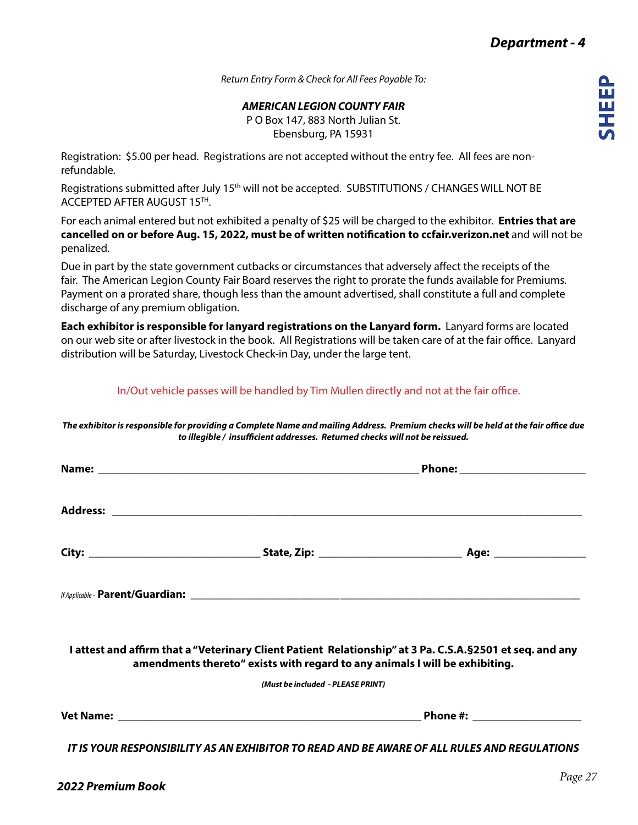*Return Entry Form & Check for All Fees Payable To:*

*AMERICAN LEGION COUNTY FAIR*

P O Box 147, 883 North Julian St. Ebensburg, PA 15931

Registration: \$5.00 per head. Registrations are not accepted without the entry fee. All fees are nonrefundable.

Registrations submitted after July 15<sup>th</sup> will not be accepted. SUBSTITUTIONS / CHANGES WILL NOT BE ACCEPTED AFTER AUGUST 15TH.

For each animal entered but not exhibited a penalty of \$25 will be charged to the exhibitor. **Entries that are cancelled on or before Aug. 15, 2022, must be of written notification to ccfair.verizon.net** and will not be penalized.

Due in part by the state government cutbacks or circumstances that adversely affect the receipts of the fair. The American Legion County Fair Board reserves the right to prorate the funds available for Premiums. Payment on a prorated share, though less than the amount advertised, shall constitute a full and complete discharge of any premium obligation.

**Each exhibitor is responsible for lanyard registrations on the Lanyard form.** Lanyard forms are located on our web site or after livestock in the book. All Registrations will be taken care of at the fair office. Lanyard distribution will be Saturday, Livestock Check-in Day, under the large tent.

In/Out vehicle passes will be handled by Tim Mullen directly and not at the fair office.

*The exhibitor is responsible for providing a Complete Name and mailing Address. Premium checks will be held at the fair office due to illegible / insufficient addresses. Returned checks will not be reissued.*

|                                                                             | <u>Phone:_________________________</u>                                                                     |  |  |
|-----------------------------------------------------------------------------|------------------------------------------------------------------------------------------------------------|--|--|
|                                                                             |                                                                                                            |  |  |
|                                                                             |                                                                                                            |  |  |
|                                                                             |                                                                                                            |  |  |
| amendments thereto" exists with regard to any animals I will be exhibiting. | I attest and affirm that a "Veterinary Client Patient Relationship" at 3 Pa. C.S.A. § 2501 et seq. and any |  |  |
| (Must be included - PLEASE PRINT)                                           |                                                                                                            |  |  |
|                                                                             |                                                                                                            |  |  |
|                                                                             | <u>IT IS YOUR RESPONSIBILITY AS AN EXHIBITOR TO READ AND BE AWARE OF ALL RULES AND REGULATIONS</u>         |  |  |